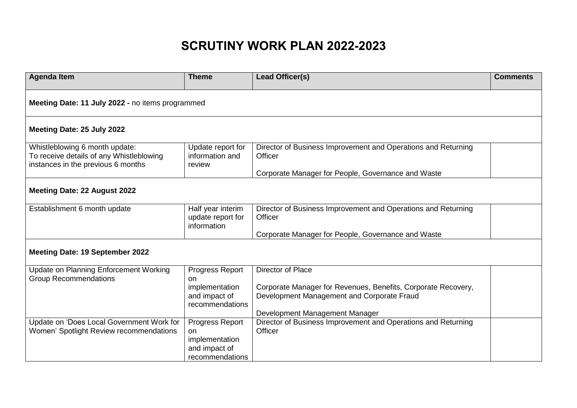## **SCRUTINY WORK PLAN 2022-2023**

| <b>Agenda Item</b>                                                            | <b>Theme</b>                     | Lead Officer(s)                                               | <b>Comments</b> |
|-------------------------------------------------------------------------------|----------------------------------|---------------------------------------------------------------|-----------------|
| Meeting Date: 11 July 2022 - no items programmed                              |                                  |                                                               |                 |
| Meeting Date: 25 July 2022                                                    |                                  |                                                               |                 |
| Whistleblowing 6 month update:                                                | Update report for                | Director of Business Improvement and Operations and Returning |                 |
| To receive details of any Whistleblowing                                      | information and                  | Officer                                                       |                 |
| instances in the previous 6 months                                            | review                           |                                                               |                 |
|                                                                               |                                  | Corporate Manager for People, Governance and Waste            |                 |
| Meeting Date: 22 August 2022                                                  |                                  |                                                               |                 |
| Establishment 6 month update                                                  | Half year interim                | Director of Business Improvement and Operations and Returning |                 |
|                                                                               | update report for<br>information | Officer                                                       |                 |
|                                                                               |                                  | Corporate Manager for People, Governance and Waste            |                 |
|                                                                               |                                  |                                                               |                 |
| <b>Meeting Date: 19 September 2022</b>                                        |                                  |                                                               |                 |
|                                                                               |                                  | Director of Place                                             |                 |
| <b>Update on Planning Enforcement Working</b><br><b>Group Recommendations</b> | Progress Report<br><b>on</b>     |                                                               |                 |
|                                                                               | implementation                   | Corporate Manager for Revenues, Benefits, Corporate Recovery, |                 |
|                                                                               | and impact of<br>recommendations | Development Management and Corporate Fraud                    |                 |
|                                                                               |                                  | Development Management Manager                                |                 |
| Update on 'Does Local Government Work for                                     | Progress Report                  | Director of Business Improvement and Operations and Returning |                 |
| Women' Spotlight Review recommendations                                       | on                               | Officer                                                       |                 |
|                                                                               | implementation<br>and impact of  |                                                               |                 |
|                                                                               | recommendations                  |                                                               |                 |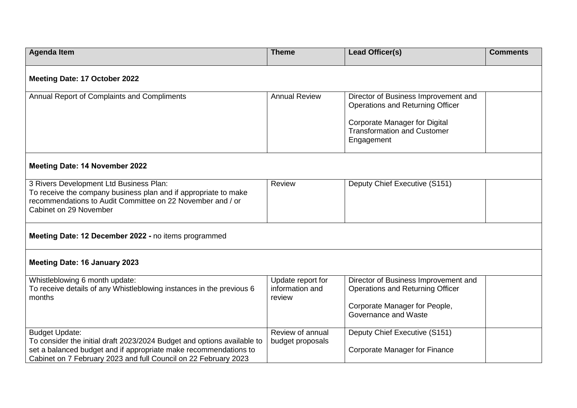| <b>Agenda Item</b>                                                                                                                                                                                                                      | <b>Theme</b>                                   | Lead Officer(s)                                                                                                                                               | <b>Comments</b> |  |  |  |  |
|-----------------------------------------------------------------------------------------------------------------------------------------------------------------------------------------------------------------------------------------|------------------------------------------------|---------------------------------------------------------------------------------------------------------------------------------------------------------------|-----------------|--|--|--|--|
| Meeting Date: 17 October 2022                                                                                                                                                                                                           |                                                |                                                                                                                                                               |                 |  |  |  |  |
| Annual Report of Complaints and Compliments                                                                                                                                                                                             | <b>Annual Review</b>                           | Director of Business Improvement and<br>Operations and Returning Officer<br>Corporate Manager for Digital<br><b>Transformation and Customer</b><br>Engagement |                 |  |  |  |  |
| <b>Meeting Date: 14 November 2022</b>                                                                                                                                                                                                   |                                                |                                                                                                                                                               |                 |  |  |  |  |
| 3 Rivers Development Ltd Business Plan:<br>To receive the company business plan and if appropriate to make<br>recommendations to Audit Committee on 22 November and / or<br>Cabinet on 29 November                                      | <b>Review</b>                                  | Deputy Chief Executive (S151)                                                                                                                                 |                 |  |  |  |  |
| Meeting Date: 12 December 2022 - no items programmed                                                                                                                                                                                    |                                                |                                                                                                                                                               |                 |  |  |  |  |
| <b>Meeting Date: 16 January 2023</b>                                                                                                                                                                                                    |                                                |                                                                                                                                                               |                 |  |  |  |  |
| Whistleblowing 6 month update:<br>To receive details of any Whistleblowing instances in the previous 6<br>months                                                                                                                        | Update report for<br>information and<br>review | Director of Business Improvement and<br>Operations and Returning Officer<br>Corporate Manager for People,<br>Governance and Waste                             |                 |  |  |  |  |
| <b>Budget Update:</b><br>To consider the initial draft 2023/2024 Budget and options available to<br>set a balanced budget and if appropriate make recommendations to<br>Cabinet on 7 February 2023 and full Council on 22 February 2023 | Review of annual<br>budget proposals           | Deputy Chief Executive (S151)<br>Corporate Manager for Finance                                                                                                |                 |  |  |  |  |